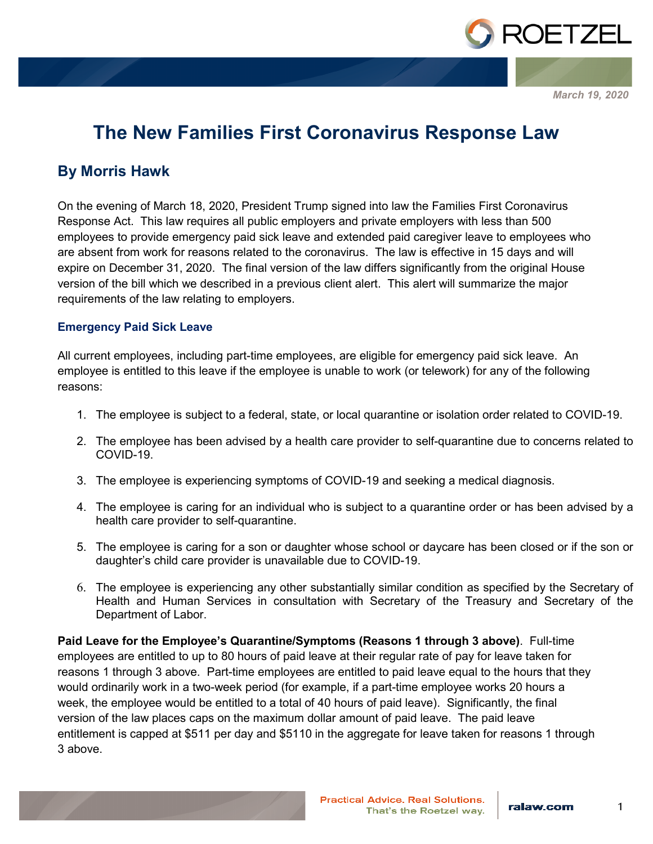

*March 19, 2020*

# **The New Families First Coronavirus Response Law**

## **By Morris Hawk**

On the evening of March 18, 2020, President Trump signed into law the Families First Coronavirus Response Act. This law requires all public employers and private employers with less than 500 employees to provide emergency paid sick leave and extended paid caregiver leave to employees who are absent from work for reasons related to the coronavirus. The law is effective in 15 days and will expire on December 31, 2020. The final version of the law differs significantly from the original House version of the bill which we described in a previous client alert. This alert will summarize the major requirements of the law relating to employers.

### **Emergency Paid Sick Leave**

All current employees, including part-time employees, are eligible for emergency paid sick leave. An employee is entitled to this leave if the employee is unable to work (or telework) for any of the following reasons:

- 1. The employee is subject to a federal, state, or local quarantine or isolation order related to COVID-19.
- 2. The employee has been advised by a health care provider to self-quarantine due to concerns related to COVID-19.
- 3. The employee is experiencing symptoms of COVID-19 and seeking a medical diagnosis.
- 4. The employee is caring for an individual who is subject to a quarantine order or has been advised by a health care provider to self-quarantine.
- 5. The employee is caring for a son or daughter whose school or daycare has been closed or if the son or daughter's child care provider is unavailable due to COVID-19.
- 6. The employee is experiencing any other substantially similar condition as specified by the Secretary of Health and Human Services in consultation with Secretary of the Treasury and Secretary of the Department of Labor.

**Paid Leave for the Employee's Quarantine/Symptoms (Reasons 1 through 3 above)**. Full-time employees are entitled to up to 80 hours of paid leave at their regular rate of pay for leave taken for reasons 1 through 3 above. Part-time employees are entitled to paid leave equal to the hours that they would ordinarily work in a two-week period (for example, if a part-time employee works 20 hours a week, the employee would be entitled to a total of 40 hours of paid leave). Significantly, the final version of the law places caps on the maximum dollar amount of paid leave. The paid leave entitlement is capped at \$511 per day and \$5110 in the aggregate for leave taken for reasons 1 through 3 above.

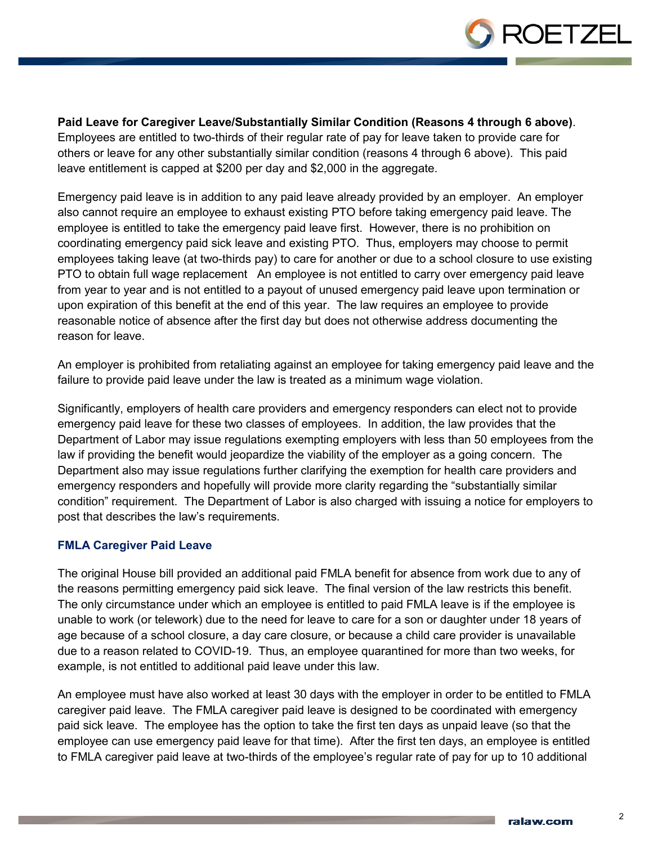

**Paid Leave for Caregiver Leave/Substantially Similar Condition (Reasons 4 through 6 above)**.

Employees are entitled to two-thirds of their regular rate of pay for leave taken to provide care for others or leave for any other substantially similar condition (reasons 4 through 6 above). This paid leave entitlement is capped at \$200 per day and \$2,000 in the aggregate.

Emergency paid leave is in addition to any paid leave already provided by an employer. An employer also cannot require an employee to exhaust existing PTO before taking emergency paid leave. The employee is entitled to take the emergency paid leave first. However, there is no prohibition on coordinating emergency paid sick leave and existing PTO. Thus, employers may choose to permit employees taking leave (at two-thirds pay) to care for another or due to a school closure to use existing PTO to obtain full wage replacement An employee is not entitled to carry over emergency paid leave from year to year and is not entitled to a payout of unused emergency paid leave upon termination or upon expiration of this benefit at the end of this year. The law requires an employee to provide reasonable notice of absence after the first day but does not otherwise address documenting the reason for leave.

An employer is prohibited from retaliating against an employee for taking emergency paid leave and the failure to provide paid leave under the law is treated as a minimum wage violation.

Significantly, employers of health care providers and emergency responders can elect not to provide emergency paid leave for these two classes of employees. In addition, the law provides that the Department of Labor may issue regulations exempting employers with less than 50 employees from the law if providing the benefit would jeopardize the viability of the employer as a going concern. The Department also may issue regulations further clarifying the exemption for health care providers and emergency responders and hopefully will provide more clarity regarding the "substantially similar condition" requirement. The Department of Labor is also charged with issuing a notice for employers to post that describes the law's requirements.

### **FMLA Caregiver Paid Leave**

The original House bill provided an additional paid FMLA benefit for absence from work due to any of the reasons permitting emergency paid sick leave. The final version of the law restricts this benefit. The only circumstance under which an employee is entitled to paid FMLA leave is if the employee is unable to work (or telework) due to the need for leave to care for a son or daughter under 18 years of age because of a school closure, a day care closure, or because a child care provider is unavailable due to a reason related to COVID-19. Thus, an employee quarantined for more than two weeks, for example, is not entitled to additional paid leave under this law.

An employee must have also worked at least 30 days with the employer in order to be entitled to FMLA caregiver paid leave. The FMLA caregiver paid leave is designed to be coordinated with emergency paid sick leave. The employee has the option to take the first ten days as unpaid leave (so that the employee can use emergency paid leave for that time). After the first ten days, an employee is entitled to FMLA caregiver paid leave at two-thirds of the employee's regular rate of pay for up to 10 additional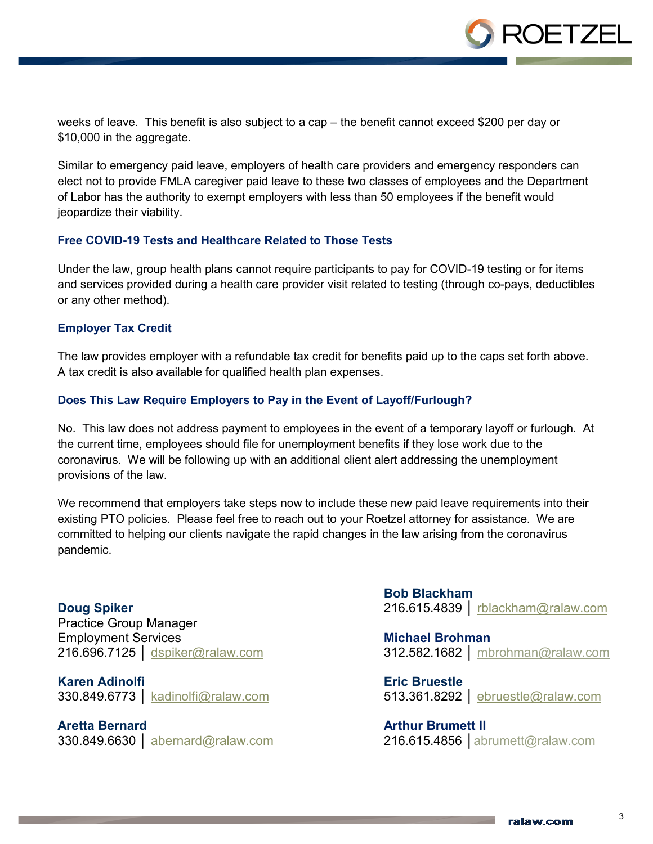

weeks of leave. This benefit is also subject to a cap – the benefit cannot exceed \$200 per day or \$10,000 in the aggregate.

Similar to emergency paid leave, employers of health care providers and emergency responders can elect not to provide FMLA caregiver paid leave to these two classes of employees and the Department of Labor has the authority to exempt employers with less than 50 employees if the benefit would jeopardize their viability.

### **Free COVID-19 Tests and Healthcare Related to Those Tests**

Under the law, group health plans cannot require participants to pay for COVID-19 testing or for items and services provided during a health care provider visit related to testing (through co-pays, deductibles or any other method).

#### **Employer Tax Credit**

The law provides employer with a refundable tax credit for benefits paid up to the caps set forth above. A tax credit is also available for qualified health plan expenses.

### **Does This Law Require Employers to Pay in the Event of Layoff/Furlough?**

No. This law does not address payment to employees in the event of a temporary layoff or furlough. At the current time, employees should file for unemployment benefits if they lose work due to the coronavirus. We will be following up with an additional client alert addressing the unemployment provisions of the law.

We recommend that employers take steps now to include these new paid leave requirements into their existing PTO policies. Please feel free to reach out to your Roetzel attorney for assistance. We are committed to helping our clients navigate the rapid changes in the law arising from the coronavirus pandemic.

**Doug Spiker** Practice Group Manager Employment Services 216.696.7125 | [dspiker@ralaw.com](mailto:dspiker@ralaw.com)

**Karen Adinolfi** 330.849.6773 │ kadinolfi@ralaw.com

**Aretta Bernard**

330.849.6630 | abernard@ralaw.com

**Bob Blackham** 216.615.4839 │ [rblackham@ralaw.com](mailto:rblackham@ralaw.com)

**Michael Brohman** 312.582.1682 │ [mbrohman@ralaw.com](mailto:mbrohman@ralaw.com)

**Eric Bruestle** 513.361.8292 │ [ebruestle@ralaw.com](mailto:ebruestle@ralaw.com)

**Arthur Brumett II** 216.615.4856 │[abrumett@ralaw.com](file://akrdata01/Data/Marketing%20Data/Alerts/2019/Employment%20-%20Obamacare%20-%2012.19.19/abrumett@ralaw.com)